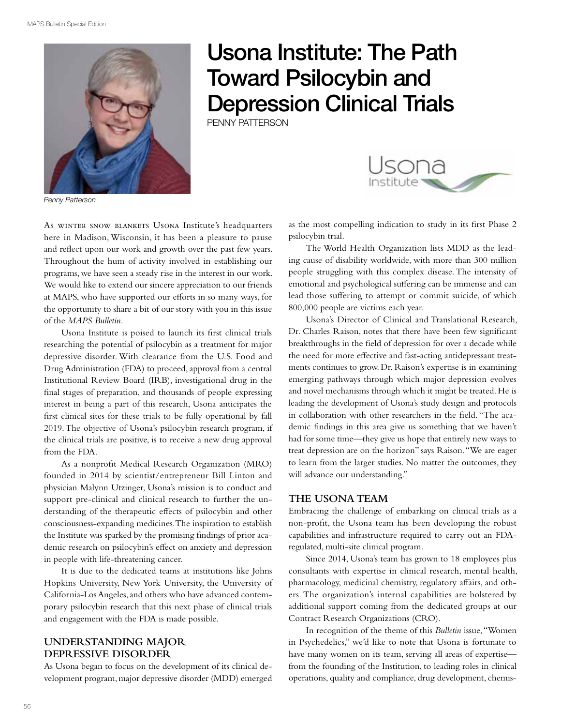

# Usona Institute: The Path Toward Psilocybin and Depression Clinical Trials

Penny Patterson



*Penny Patterson*

As winter snow blankets Usona Institute's headquarters here in Madison, Wisconsin, it has been a pleasure to pause and reflect upon our work and growth over the past few years. Throughout the hum of activity involved in establishing our programs, we have seen a steady rise in the interest in our work. We would like to extend our sincere appreciation to our friends at MAPS, who have supported our efforts in so many ways, for the opportunity to share a bit of our story with you in this issue of the *MAPS Bulletin.*

Usona Institute is poised to launch its first clinical trials researching the potential of psilocybin as a treatment for major depressive disorder. With clearance from the U.S. Food and Drug Administration (FDA) to proceed, approval from a central Institutional Review Board (IRB), investigational drug in the final stages of preparation, and thousands of people expressing interest in being a part of this research, Usona anticipates the first clinical sites for these trials to be fully operational by fall 2019. The objective of Usona's psilocybin research program, if the clinical trials are positive, is to receive a new drug approval from the FDA.

As a nonprofit Medical Research Organization (MRO) founded in 2014 by scientist/entrepreneur Bill Linton and physician Malynn Utzinger, Usona's mission is to conduct and support pre-clinical and clinical research to further the understanding of the therapeutic effects of psilocybin and other consciousness-expanding medicines. The inspiration to establish the Institute was sparked by the promising findings of prior academic research on psilocybin's effect on anxiety and depression in people with life-threatening cancer.

It is due to the dedicated teams at institutions like Johns Hopkins University, New York University, the University of California-Los Angeles, and others who have advanced contemporary psilocybin research that this next phase of clinical trials and engagement with the FDA is made possible.

# **Understanding Major Depressive Disorder**

As Usona began to focus on the development of its clinical development program, major depressive disorder (MDD) emerged as the most compelling indication to study in its first Phase 2 psilocybin trial.

The World Health Organization lists MDD as the leading cause of disability worldwide, with more than 300 million people struggling with this complex disease. The intensity of emotional and psychological suffering can be immense and can lead those suffering to attempt or commit suicide, of which 800,000 people are victims each year.

Usona's Director of Clinical and Translational Research, Dr. Charles Raison, notes that there have been few significant breakthroughs in the field of depression for over a decade while the need for more effective and fast-acting antidepressant treatments continues to grow. Dr. Raison's expertise is in examining emerging pathways through which major depression evolves and novel mechanisms through which it might be treated. He is leading the development of Usona's study design and protocols in collaboration with other researchers in the field. "The academic findings in this area give us something that we haven't had for some time—they give us hope that entirely new ways to treat depression are on the horizon" says Raison. "We are eager to learn from the larger studies. No matter the outcomes, they will advance our understanding."

# **The Usona Team**

Embracing the challenge of embarking on clinical trials as a non-profit, the Usona team has been developing the robust capabilities and infrastructure required to carry out an FDAregulated, multi-site clinical program.

Since 2014, Usona's team has grown to 18 employees plus consultants with expertise in clinical research, mental health, pharmacology, medicinal chemistry, regulatory affairs, and others. The organization's internal capabilities are bolstered by additional support coming from the dedicated groups at our Contract Research Organizations (CRO).

In recognition of the theme of this *Bulletin* issue, "Women in Psychedelics," we'd like to note that Usona is fortunate to have many women on its team, serving all areas of expertise from the founding of the Institution, to leading roles in clinical operations, quality and compliance, drug development, chemis-